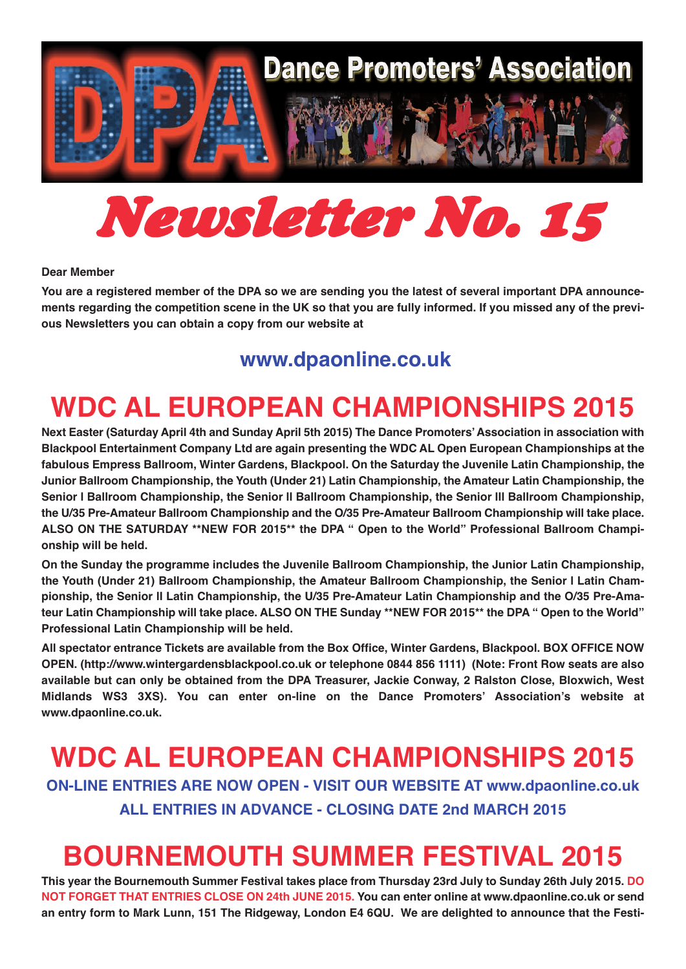

# *Newsletter No. 15*

#### **Dear Member**

**You are a registered member of the DPA so we are sending you the latest of several important DPA announcements regarding the competition scene in the UK so that you are fully informed. If you missed any of the previous Newsletters you can obtain a copy from our website at** 

#### **<www.dpaonline.co.uk>**

# **WDC AL EUROPEAN CHAMPIONSHIPS 2015**

**Next Easter (Saturday April 4th and Sunday April 5th 2015) The Dance Promoters' Association in association with Blackpool Entertainment Company Ltd are again presenting the WDC AL Open European Championships at the fabulous Empress Ballroom, Winter Gardens, Blackpool. On the Saturday the Juvenile Latin Championship, the Junior Ballroom Championship, the Youth (Under 21) Latin Championship, the Amateur Latin Championship, the Senior l Ballroom Championship, the Senior ll Ballroom Championship, the Senior lll Ballroom Championship, the U/35 Pre-Amateur Ballroom Championship and the O/35 Pre-Amateur Ballroom Championship will take place. ALSO ON THE SATURDAY \*\*NEW FOR 2015\*\* the DPA " Open to the World" Professional Ballroom Championship will be held.**

**On the Sunday the programme includes the Juvenile Ballroom Championship, the Junior Latin Championship, the Youth (Under 21) Ballroom Championship, the Amateur Ballroom Championship, the Senior l Latin Championship, the Senior ll Latin Championship, the U/35 Pre-Amateur Latin Championship and the O/35 Pre-Amateur Latin Championship will take place. ALSO ON THE Sunday \*\*NEW FOR 2015\*\* the DPA " Open to the World" Professional Latin Championship will be held.**

**All spectator entrance Tickets are available from the Box Office, Winter Gardens, Blackpool. BOX OFFICE NOW OPEN. (http://www.wintergardensblackpool.co.uk or telephone 0844 856 1111) (Note: Front Row seats are also available but can only be obtained from the DPA Treasurer, Jackie Conway, 2 Ralston Close, Bloxwich, West Midlands WS3 3XS). You can enter on-line on the Dance Promoters' Association's website at www.dpaonline.co.uk.**

**WDC AL EUROPEAN CHAMPIONSHIPS 2015 ON-LINE ENTRIES ARE NOW OPEN - VISIT OUR WEBSITE AT www.dpaonline.co.uk ALL ENTRIES IN ADVANCE - CLOSING DATE 2nd MARCH 2015**

## **BOURNEMOUTH SUMMER FESTIVAL 2015**

**This year the Bournemouth Summer Festival takes place from Thursday 23rd July to Sunday 26th July 2015. DO NOT FORGET THAT ENTRIES CLOSE ON 24th JUNE 2015. You can enter online at www.dpaonline.co.uk or send an entry form to Mark Lunn, 151 The Ridgeway, London E4 6QU. We are delighted to announce that the Festi-**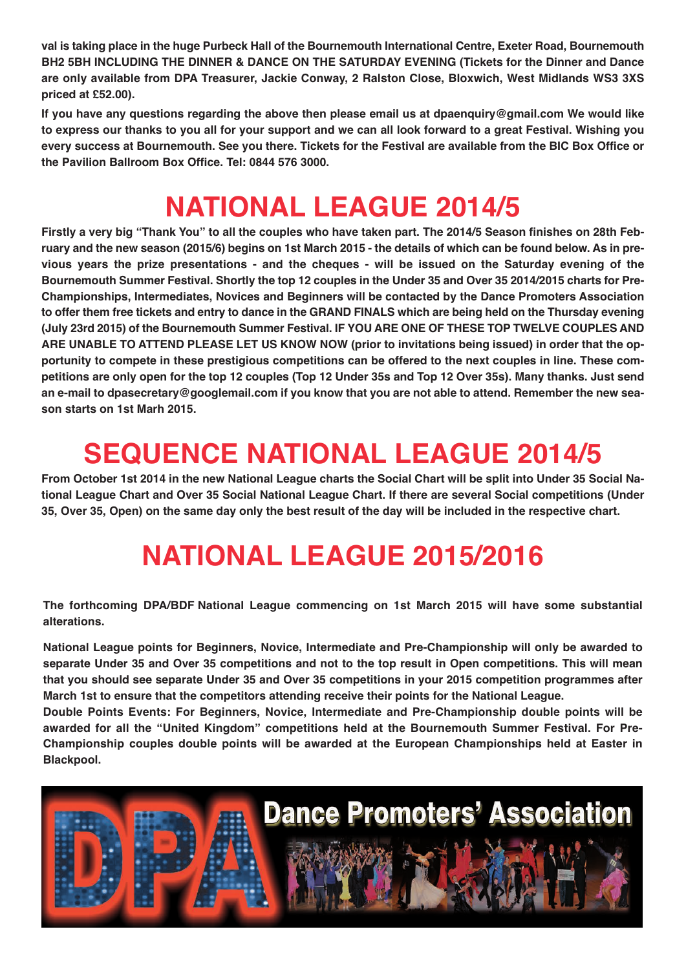**val is taking place in the huge Purbeck Hall of the Bournemouth International Centre, Exeter Road, Bournemouth BH2 5BH INCLUDING THE DINNER & DANCE ON THE SATURDAY EVENING (Tickets for the Dinner and Dance are only available from DPA Treasurer, Jackie Conway, 2 Ralston Close, Bloxwich, West Midlands WS3 3XS priced at £52.00).** 

**If you have any questions regarding the above then please email us at dpaenquiry@gmail.com We would like to express our thanks to you all for your support and we can all look forward to a great Festival. Wishing you every success at Bournemouth. See you there. Tickets for the Festival are available from the BIC Box Office or the Pavilion Ballroom Box Office. Tel: 0844 576 3000.**

## **NATIONAL LEAGUE 2014/5**

**Firstly a very big "Thank You" to all the couples who have taken part. The 2014/5 Season finishes on 28th February and the new season (2015/6) begins on 1st March 2015 - the details of which can be found below. As in previous years the prize presentations - and the cheques - will be issued on the Saturday evening of the Bournemouth Summer Festival. Shortly the top 12 couples in the Under 35 and Over 35 2014/2015 charts for Pre-Championships, Intermediates, Novices and Beginners will be contacted by the Dance Promoters Association to offer them free tickets and entry to dance in the GRAND FINALS which are being held on the Thursday evening (July 23rd 2015) of the Bournemouth Summer Festival. IF YOU ARE ONE OF THESE TOP TWELVE COUPLES AND ARE UNABLE TO ATTEND PLEASE LET US KNOW NOW (prior to invitations being issued) in order that the opportunity to compete in these prestigious competitions can be offered to the next couples in line. These competitions are only open for the top 12 couples (Top 12 Under 35s and Top 12 Over 35s). Many thanks. Just send an e-mail to dpasecretary@googlemail.com if you know that you are not able to attend. Remember the new season starts on 1st Marh 2015.**

# **SEQUENCE NATIONAL LEAGUE 2014/5**

**From October 1st 2014 in the new National League charts the Social Chart will be split into Under 35 Social National League Chart and Over 35 Social National League Chart. If there are several Social competitions (Under 35, Over 35, Open) on the same day only the best result of the day will be included in the respective chart.**

# **NATIONAL LEAGUE 2015/2016**

**The forthcoming DPA/BDF National League commencing on 1st March 2015 will have some substantial alterations.**

**National League points for Beginners, Novice, Intermediate and Pre-Championship will only be awarded to separate Under 35 and Over 35 competitions and not to the top result in Open competitions. This will mean that you should see separate Under 35 and Over 35 competitions in your 2015 competition programmes after March 1st to ensure that the competitors attending receive their points for the National League.** 

**Double Points Events: For Beginners, Novice, Intermediate and Pre-Championship double points will be awarded for all the "United Kingdom" competitions held at the Bournemouth Summer Festival. For Pre-Championship couples double points will be awarded at the European Championships held at Easter in Blackpool.**

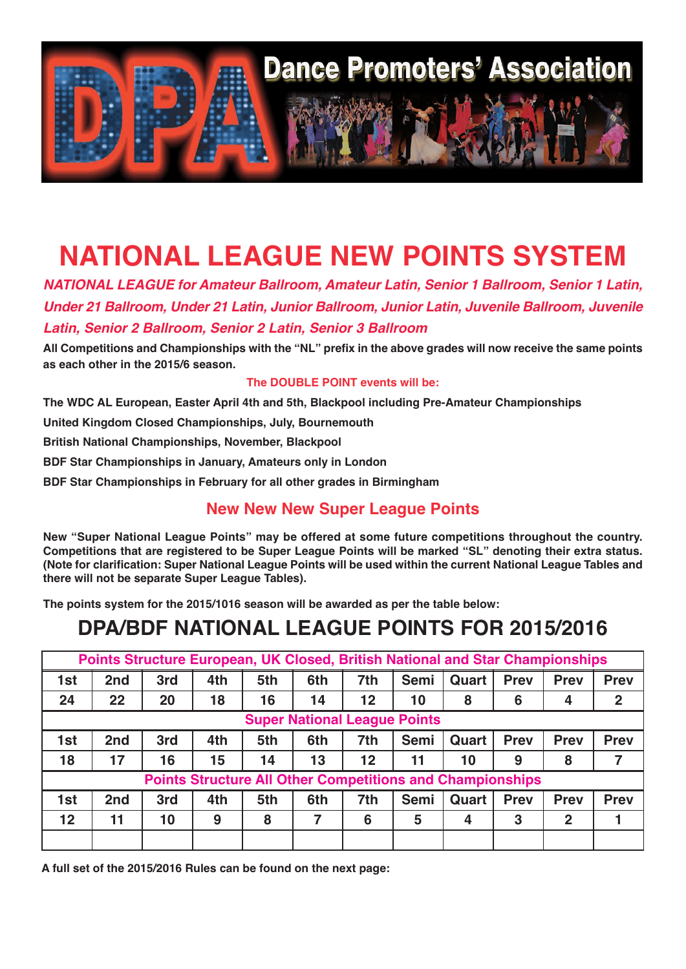

# **NATIONAL LEAGUE NEW POINTS SYSTEM**

*NATIONAL LEAGUE for Amateur Ballroom, Amateur Latin, Senior 1 Ballroom, Senior 1 Latin, Under 21 Ballroom, Under 21 Latin, Junior Ballroom, Junior Latin, Juvenile Ballroom, Juvenile Latin, Senior 2 Ballroom, Senior 2 Latin, Senior 3 Ballroom*

**All Competitions and Championships with the "NL" prefix in the above grades will now receive the same points as each other in the 2015/6 season.**

**The DOUBLE POINT events will be:**

**The WDC AL European, Easter April 4th and 5th, Blackpool including Pre-Amateur Championships**

**United Kingdom Closed Championships, July, Bournemouth**

**British National Championships, November, Blackpool**

**BDF Star Championships in January, Amateurs only in London**

**BDF Star Championships in February for all other grades in Birmingham**

#### **New New New Super League Points**

**New "Super National League Points" may be offered at some future competitions throughout the country. Competitions that are registered to be Super League Points will be marked "SL" denoting their extra status. (Note for clarification: Super National League Points will be used within the current National League Tables and there will not be separate Super League Tables).** 

**The points system for the 2015/1016 season will be awarded as per the table below:**

### **DPA/BDF NATIONAL LEAGUE POINTS FOR 2015/2016**

| Points Structure European, UK Closed, British National and Star Championships |     |     |     |     |     |     |             |       |             |              |              |
|-------------------------------------------------------------------------------|-----|-----|-----|-----|-----|-----|-------------|-------|-------------|--------------|--------------|
| 1st                                                                           | 2nd | 3rd | 4th | 5th | 6th | 7th | <b>Semi</b> | Quart | <b>Prev</b> | <b>Prev</b>  | <b>Prev</b>  |
| 24                                                                            | 22  | 20  | 18  | 16  | 14  | 12  | 10          | 8     | 6           | 4            | $\mathbf{2}$ |
| <b>Super National League Points</b>                                           |     |     |     |     |     |     |             |       |             |              |              |
| 1st                                                                           | 2nd | 3rd | 4th | 5th | 6th | 7th | <b>Semi</b> | Quart | <b>Prev</b> | <b>Prev</b>  | <b>Prev</b>  |
| 18                                                                            | 17  | 16  | 15  | 14  | 13  | 12  | 11          | 10    | 9           | 8            |              |
| <b>Points Structure All Other Competitions and Championships</b>              |     |     |     |     |     |     |             |       |             |              |              |
| 1st                                                                           | 2nd | 3rd | 4th | 5th | 6th | 7th | <b>Semi</b> | Quart | <b>Prev</b> | <b>Prev</b>  | <b>Prev</b>  |
| $12 \overline{ }$                                                             | 11  | 10  | 9   | 8   | 7   | 6   | 5           | 4     | 3           | $\mathbf{2}$ |              |
|                                                                               |     |     |     |     |     |     |             |       |             |              |              |

**A full set of the 2015/2016 Rules can be found on the next page:**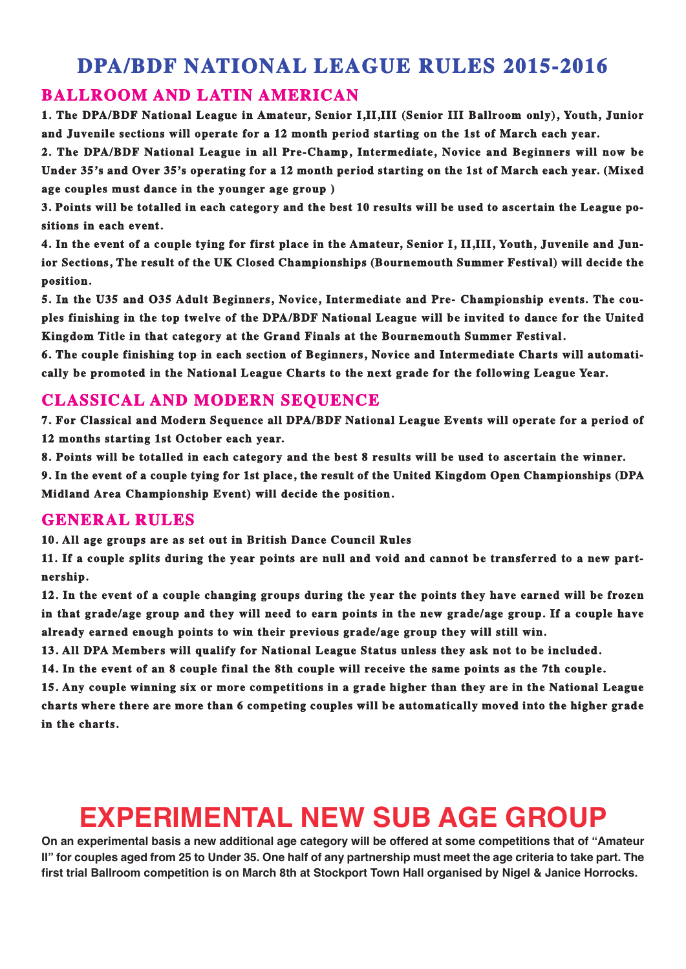### **DPA/BDF NATIONAL LEAGUE RULES 2015-2016**

#### **BALLROOM AND LATIN AMERICAN**

**1. The DPA/BDF National League in Amateur, Senior I,II,III (Senior III Ballroom only), Youth, Junior and Juvenile sections will operate for a 12 month period starting on the 1st of March each year.**

**2. The DPA/BDF National League in all Pre-Champ, Intermediate, Novice and Beginners will now be Under 35's and Over 35's operating for a 12 month period starting on the 1st of March each year. (Mixed age couples must dance in the younger age group )**

**3. Points will be totalled in each category and the best 10 results will be used to ascertain the League positions in each event.**

**4. In the event of a couple tying for first place in the Amateur, Senior I, II,III, Youth, Juvenile and Junior Sections, The result of the UK Closed Championships (Bournemouth Summer Festival) will decide the position.**

**5. In the U35 and O35 Adult Beginners, Novice, Intermediate and Pre- Championship events. The couples finishing in the top twelve of the DPA/BDF National League will be invited to dance for the United Kingdom Title in that category at the Grand Finals at the Bournemouth Summer Festival.**

**6. The couple finishing top in each section of Beginners, Novice and Intermediate Charts will automatically be promoted in the National League Charts to the next grade for the following League Year.**

#### **CLASSICAL AND MODERN SEQUENCE**

**7. For Classical and Modern Sequence all DPA/BDF National League Events will operate for a period of 12 months starting 1st October each year.**

**8. Points will be totalled in each category and the best 8 results will be used to ascertain the winner.**

**9. In the event of a couple tying for 1st place, the result of the United Kingdom Open Championships (DPA Midland Area Championship Event) will decide the position.**

#### **GENERAL RULES**

**10. All age groups are as set out in British Dance Council Rules**

**11. If a couple splits during the year points are null and void and cannot be transferred to a new partnership.**

**12. In the event of a couple changing groups during the year the points they have earned will be frozen in that grade/age group and they will need to earn points in the new grade/age group. If a couple have already earned enough points to win their previous grade/age group they will still win.**

**13. All DPA Members will qualify for National League Status unless they ask not to be included.**

**14. In the event of an 8 couple final the 8th couple will receive the same points as the 7th couple.**

**15. Any couple winning six or more competitions in a grade higher than they are in the National League charts where there are more than 6 competing couples will be automatically moved into the higher grade in the charts.**

# **EXPERIMENTAL NEW SUB AGE GROUP**

**On an experimental basis a new additional age category will be offered at some competitions that of "Amateur II" for couples aged from 25 to Under 35. One half of any partnership must meet the age criteria to take part. The first trial Ballroom competition is on March 8th at Stockport Town Hall organised by Nigel & Janice Horrocks.**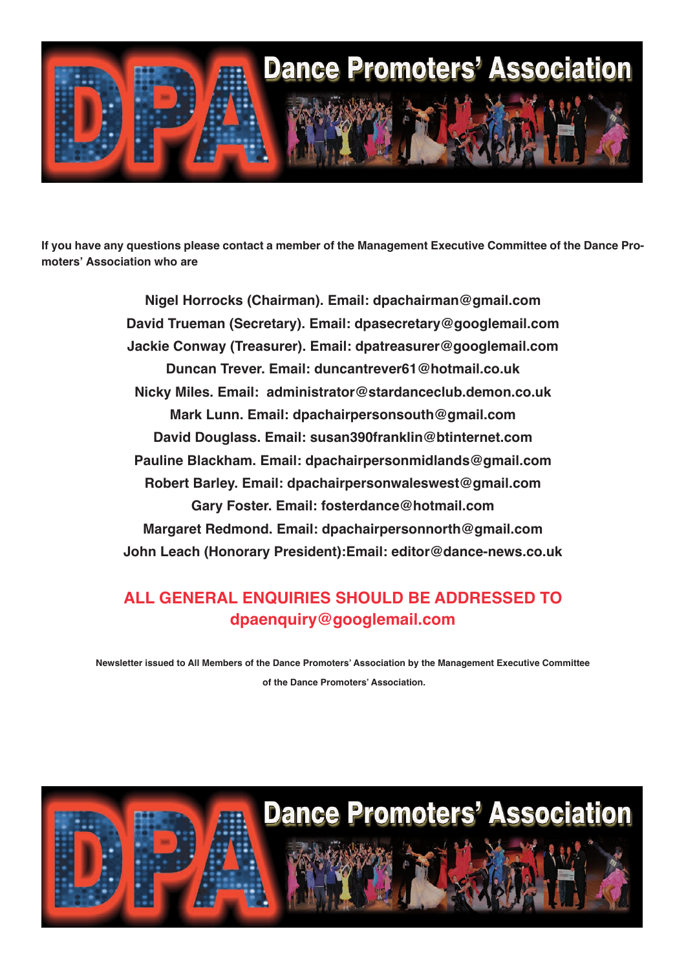

**If you have any questions please contact a member of the Management Executive Committee of the Dance Promoters' Association who are**

> **Nigel Horrocks (Chairman). Email: [dpachairman@gmail.com](mailto:dpachairman@gmail.com) David Trueman (Secretary). Email: dpasecretary@googlemail.com Jackie Conway (Treasurer). Email: dpatreasurer@googlemail.com Duncan Trever. Email: duncantrever61@hotmail.co.uk Nicky Miles. Email: administrator@stardanceclub.demon.co.uk Mark Lunn. Email: dpachairpersonsouth@gmail.com David Douglass. Email: susan390franklin@btinternet.com Pauline Blackham. Email: dpachairpersonmidlands@gmail.com Robert Barley. Email: dpachairpersonwaleswest@gmail.com Gary Foster. Email: fosterdance@hotmail.com Margaret Redmond. Email: dpachairpersonnorth@gmail.com John Leach (Honorary President):Email: editor@dance-news.co.uk**

#### **ALL GENERAL ENQUIRIES SHOULD BE ADDRESSED TO dpaenquiry@googlemail.com**

**Newsletter issued to All Members of the Dance Promoters' Association by the Management Executive Committee of the Dance Promoters' Association.**

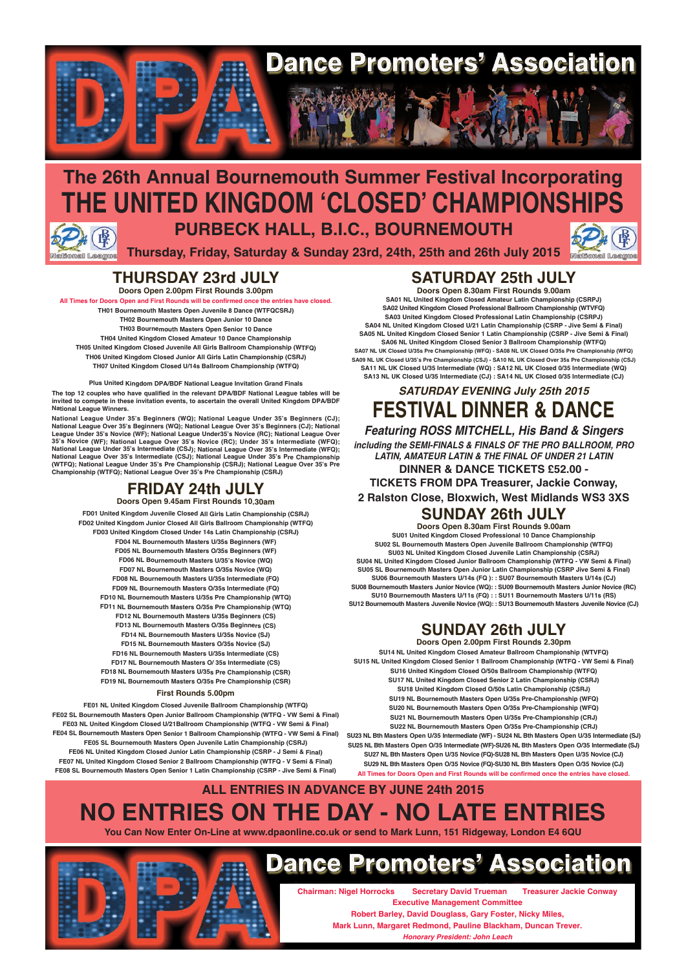

### **The 26th Annual Bournemouth Summer Festival Incorporating THE UNITED KINGDOM 'CLOSED' CHAMPIONSHIPS PURBECK HALL, B.I.C., BOURNEMOUTH**

**Thursday, Friday, Saturday & Sunday 23rd, 24th, 25th and 26th July 2015**

#### **THURSDAY 23rd JULY Doors Open 2.00pm First Rounds 3.00pm**

**In Fluiseanons** 

**All Times for Doors Open and First Rounds will be confirmed once the entries have closed. TH01 Bournemouth Masters Open Juvenile 8 Dance (WTFQCSRJ) TH02 Bournemouth Masters Open Junior 10 Dance TH03 Bournemouth Masters Open Senior 10 Dance TH04 United Kingdom Closed Amateur 10 Dance Championship TH05 United Kingdom Closed Juvenile All Girls Ballroom Championship (WTFQ) TH06 United Kingdom Closed Junior All Girls Latin Championship (CSRJ) TH07 United Kingdom Closed U/14s Ballroom Championship (WTFQ)**

**Plus United Kingdom DPA/BDF National League Invitation Grand Finals The top 12 couples who have qualified in the relevant DPA/BDF National League tables will be invited to compete in these invitation events, to ascertain the overall United Kingdom DPA/BDF National League Winners.**

National League Under 35's Beginners (WQ); National League Under 35's Beginners (CJ);<br>National League Over 35's Beginners (WQ); National League Over 35's Beginners (CJ); National<br>League Under 35's Novice (WF); National Lea **National League Over 35's Intermediate (CSJ); National League Under 35's Pre Championship (WTFQ); National League Under 35's Pre Championship (CSRJ); National League Over 35's Pre Championship (WTFQ); National League Over 35's Pre Championship (CSRJ)**

#### **FRIDAY 24th JULY Doors Open 9.45am First Rounds 10.30am**

**FD01 United Kingdom Juvenile Closed All Girls Latin Championship (CSRJ) FD02 United Kingdom Junior Closed All Girls Ballroom Championship (WTFQ) FD03 United Kingdom Closed Under 14s Latin Championship (CSRJ) FD04 NL Bournemouth Masters U/35s Beginners (WF) FD05 NL Bournemouth Masters O/35s Beginners (WF) FD06 NL Bournemouth Masters U/35's Novice (WQ) FD07 NL Bournemouth Masters O/35s Novice (WQ) FD08 NL Bournemouth Masters U/35s Intermediate (FQ) FD09 NL Bournemouth Masters O/35s Intermediate (FQ) FD10 NL Bournemouth Masters U/35s Pre Championship (WTQ) FD11 NL Bournemouth Masters O/35s Pre Championship (WTQ) FD12 NL Bournemouth Masters U/35s Beginners (CS) FD13 NL Bournemouth Masters O/35s Beginners (CS) FD14 NL Bournemouth Masters U/35s Novice (SJ) FD15 NL Bournemouth Masters O/35s Novice (SJ) FD16 NL Bournemouth Masters U/35s Intermediate (CS)**

**FD17 NL Bournemouth Masters O/ 35s Intermediate (CS) FD18 NL Bournemouth Masters U/35s Pre Championship (CSR) FD19 NL Bournemouth Masters O/35s Pre Championship (CSR)**

#### **First Rounds 5.00pm**

**FE01 NL United Kingdom Closed Juvenile Ballroom Championship (WTFQ) FE02 SL Bournemouth Masters Open Junior Ballroom Championship (WTFQ - VW Semi & Final) FE03 NL United Kingdom Closed U/21Ballroom Championship (WTFQ - VW Semi & Final) FE04 SL Bournemouth Masters Open Senior 1 Ballroom Championship (WTFQ - VW Semi & Final) FE05 SL Bournemouth Masters Open Juvenile Latin Championship (CSRJ) FE06 NL United Kingdom Closed Junior Latin Championship (CSRP - J Semi & Final) FE07 NL United Kingdom Closed Senior 2 Ballroom Championship (WTFQ - V Semi & Final) FE08 SL Bournemouth Masters Open Senior 1 Latin Championship (CSRP - Jive Semi & Final)**

#### **SATURDAY 25th JULY Doors Open 8.30am First Rounds 9.00am**

**SA01 NL United Kingdom Closed Amateur Latin Championship (CSRPJ) SA02 United Kingdom Closed Professional Ballroom Championship (WTVFQ) SA03 United Kingdom Closed Professional Latin Championship (CSRPJ) SA04 NL United Kingdom Closed U/21 Latin Championship (CSRP - Jive Semi & Final) SA05 NL United Kingdom Closed Senior 1 Latin Championship (CSRP - Jive Semi & Final) SA06 NL United Kingdom Closed Senior 3 Ballroom Championship (WTFQ) SA07 NL UK Closed U/35s Pre Championship (WFQ) - SA08 NL UK Closed O/35s Pre Championship (WFQ) SA09 NL UK Closed U/35's Pre Championship (CSJ) - SA10 NL UK Closed Over 35s Pre Championship (CSJ) SA11 NL UK Closed U/35 Intermediate (WQ) : SA12 NL UK Closed 0/35 Intermediate (WQ) SA13 NL UK Closed U/35 Intermediate (CJ) : SA14 NL UK Closed 0/35 Intermediate (CJ)**

#### **SATURDAY EVENING July 25th 2015 FESTIVAL DINNER & DANCE**

**Featuring ROSS MITCHELL, His Band & Singers including the SEMI-FINALS & FINALS OF THE PRO BALLROOM, PRO LATIN, AMATEUR LATIN & THE FINAL OF UNDER 21 LATIN DINNER & DANCE TICKETS £52.00 -**

**TICKETS FROM DPA Treasurer, Jackie Conway,**

**2 Ralston Close, Bloxwich, West Midlands WS3 3XS**

#### **SUNDAY 26th JULY**

**Doors Open 8.30am First Rounds 9.00am SU01 United Kingdom Closed Professional 10 Dance Championship SU02 SL Bournemouth Masters Open Juvenile Ballroom Championship (WTFQ) SU03 NL United Kingdom Closed Juvenile Latin Championship (CSRJ) SU04 NL United Kingdom Closed Junior Ballroom Championship (WTFQ - VW Semi & Final) SU05 SL Bournemouth Masters Open Junior Latin Championship (CSRP Jive Semi & Final) SU06 Bournemouth Masters U/14s (FQ ): : SU07 Bournemouth Masters U/14s (CJ) SU08 Bournemouth Masters Junior Novice (WQ): : SU09 Bournemouth Masters Junior Novice (RC) SU10 Bournemouth Masters U/11s (FQ) : : SU11 Bournemouth Masters U/11s (RS) SU12 Bournemouth Masters Juvenile Novice (WQ): : SU13 Bournemouth Masters Juvenile Novice (CJ)**

#### **SUNDAY 26th JULY**

**Doors Open 2.00pm First Rounds 2.30pm SU14 NL United Kingdom Closed Amateur Ballroom Championship (WTVFQ) SU15 NL United Kingdom Closed Senior 1 Ballroom Championship (WTFQ - VW Semi & Final) SU16 United Kingdom Closed O/50s Ballroom Championship (WTFQ) SU17 NL United Kingdom Closed Senior 2 Latin Championship (CSRJ) SU18 United Kingdom Closed O/50s Latin Championship (CSRJ) SU19 NL Bournemouth Masters Open U/35s Pre-Championship (WFQ) SU20 NL Bournemouth Masters Open O/35s Pre-Championship (WFQ) SU21 NL Bournemouth Masters Open U/35s Pre-Championship (CRJ) SU22 NL Bournemouth Masters Open O/35s Pre-Championship (CRJ) SU23 NL Bth Masters Open U/35 Intermediate (WF) - SU24 NL Bth Masters Open U/35 Intermediate (SJ) SU25 NL Bth Masters Open O/35 Intermediate (WF)-SU26 NL Bth Masters Open O/35 Intermediate (SJ) SU27 NL Bth Masters Open U/35 Novice (FQ)-SU28 NL Bth Masters Open U/35 Novice (CJ)**

**SU29 NL Bth Masters Open O/35 Novice (FQ)-SU30 NL Bth Masters Open O/35 Novice (CJ) All Times for Doors Open and First Rounds will be confirmed once the entries have closed.**

### **ALL ENTRIES IN ADVANCE BY JUNE 24th 2015 NO ENTRIES ON THE DAY - NO LATE ENTRIES**

**You Can Now Enter On-Line at www.dpaonline.co.uk or send to Mark Lunn, 151 Ridgeway, London E4 6QU**

**Dance Promoters' Association** 

**Chairman: Nigel Horrocks Secretary David Trueman Treasurer Jackie Conway Executive Management Committee Robert Barley, David Douglass, Gary Foster, Nicky Miles,**

**Mark Lunn, Margaret Redmond, Pauline Blackham, Duncan Trever.**

**Honorary President: John Leach**